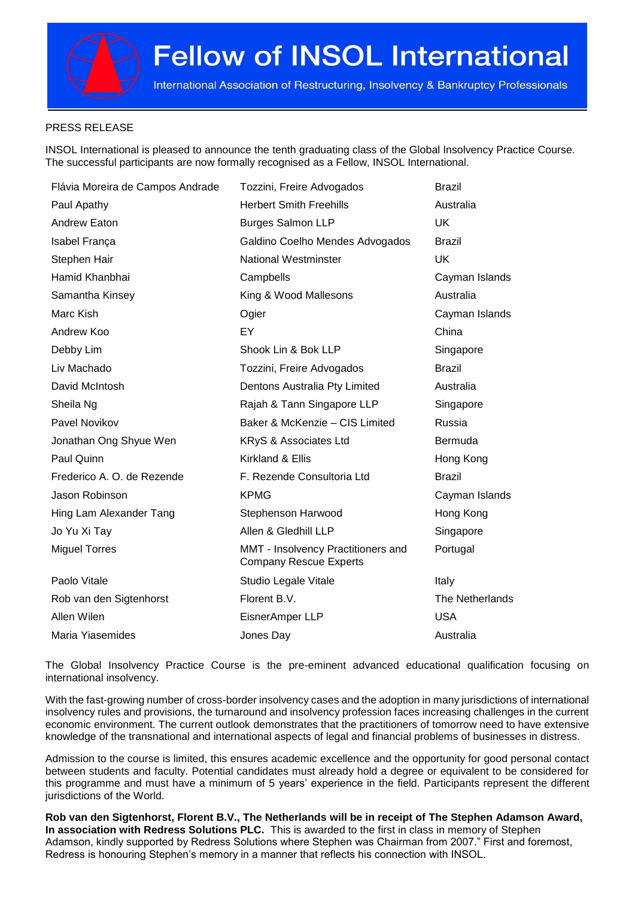International Association of Restructuring, Insolvency & Bankruptcy Professionals

### PRESS RELEASE

INSOL International is pleased to announce the tenth graduating class of the Global Insolvency Practice Course. The successful participants are now formally recognised as a Fellow, INSOL International.

| Flávia Moreira de Campos Andrade | Tozzini, Freire Advogados                                           | <b>Brazil</b>   |
|----------------------------------|---------------------------------------------------------------------|-----------------|
| Paul Apathy                      | <b>Herbert Smith Freehills</b>                                      | Australia       |
| Andrew Eaton                     | <b>Burges Salmon LLP</b>                                            | UK              |
| Isabel França                    | Galdino Coelho Mendes Advogados                                     | <b>Brazil</b>   |
| Stephen Hair                     | <b>National Westminster</b>                                         | <b>UK</b>       |
| Hamid Khanbhai                   | Campbells                                                           | Cayman Islands  |
| Samantha Kinsey                  | King & Wood Mallesons                                               | Australia       |
| Marc Kish                        | Ogier                                                               | Cayman Islands  |
| Andrew Koo                       | EY                                                                  | China           |
| Debby Lim                        | Shook Lin & Bok LLP                                                 | Singapore       |
| Liv Machado                      | Tozzini, Freire Advogados                                           | <b>Brazil</b>   |
| David McIntosh                   | Dentons Australia Pty Limited                                       | Australia       |
| Sheila Ng                        | Rajah & Tann Singapore LLP                                          | Singapore       |
| Pavel Novikov                    | Baker & McKenzie - CIS Limited                                      | Russia          |
| Jonathan Ong Shyue Wen           | KRyS & Associates Ltd                                               | <b>Bermuda</b>  |
| Paul Quinn                       | Kirkland & Ellis                                                    | Hong Kong       |
| Frederico A. O. de Rezende       | F. Rezende Consultoria Ltd                                          | <b>Brazil</b>   |
| Jason Robinson                   | <b>KPMG</b>                                                         | Cayman Islands  |
| Hing Lam Alexander Tang          | Stephenson Harwood                                                  | Hong Kong       |
| Jo Yu Xi Tay                     | Allen & Gledhill LLP                                                | Singapore       |
| <b>Miguel Torres</b>             | MMT - Insolvency Practitioners and<br><b>Company Rescue Experts</b> | Portugal        |
| Paolo Vitale                     | Studio Legale Vitale                                                | Italy           |
| Rob van den Sigtenhorst          | Florent B.V.                                                        | The Netherlands |
| Allen Wilen                      | EisnerAmper LLP                                                     | <b>USA</b>      |
| Maria Yiasemides                 | Jones Day                                                           | Australia       |

The Global Insolvency Practice Course is the pre-eminent advanced educational qualification focusing on international insolvency.

With the fast-growing number of cross-border insolvency cases and the adoption in many jurisdictions of international insolvency rules and provisions, the turnaround and insolvency profession faces increasing challenges in the current economic environment. The current outlook demonstrates that the practitioners of tomorrow need to have extensive knowledge of the transnational and international aspects of legal and financial problems of businesses in distress.

Admission to the course is limited, this ensures academic excellence and the opportunity for good personal contact between students and faculty. Potential candidates must already hold a degree or equivalent to be considered for this programme and must have a minimum of 5 years' experience in the field. Participants represent the different jurisdictions of the World.

**Rob van den Sigtenhorst, Florent B.V., The Netherlands will be in receipt of The Stephen Adamson Award, In association with Redress Solutions PLC.** This is awarded to the first in class in memory of Stephen Adamson, kindly supported by Redress Solutions where Stephen was Chairman from 2007." First and foremost, Redress is honouring Stephen's memory in a manner that reflects his connection with INSOL.